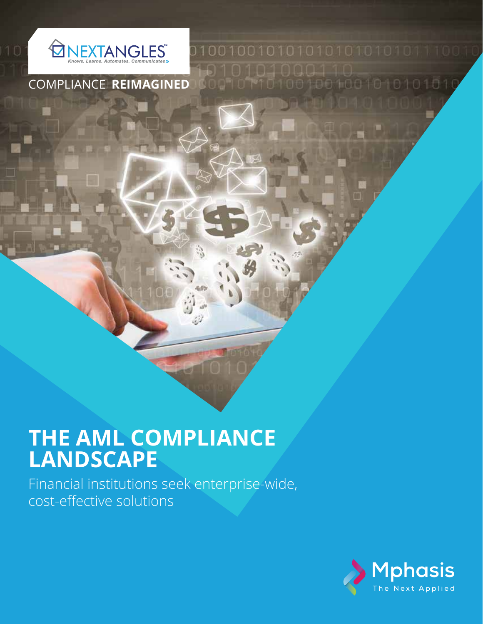

COMPLIANCE **REIMAGINED**

# **THE AML COMPLIANCE LANDSCAPE**

Financial institutions seek enterprise-wide, cost-effective solutions



900101101001001001010101010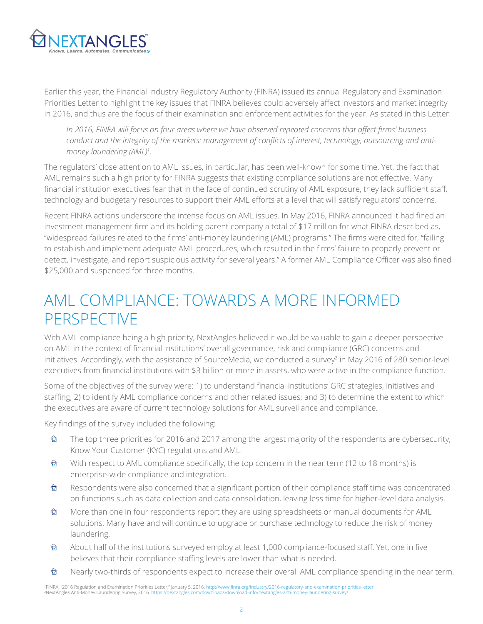

Earlier this year, the Financial Industry Regulatory Authority (FINRA) issued its annual Regulatory and Examination Priorities Letter to highlight the key issues that FINRA believes could adversely affect investors and market integrity in 2016, and thus are the focus of their examination and enforcement activities for the year. As stated in this Letter:

*In 2016, FINRA will focus on four areas where we have observed repeated concerns that affect firms' business conduct and the integrity of the markets: management of conflicts of interest, technology, outsourcing and antimoney laundering (AML)<sup>1</sup> .* 

The regulators' close attention to AML issues, in particular, has been well-known for some time. Yet, the fact that AML remains such a high priority for FINRA suggests that existing compliance solutions are not effective. Many financial institution executives fear that in the face of continued scrutiny of AML exposure, they lack sufficient staff, technology and budgetary resources to support their AML efforts at a level that will satisfy regulators' concerns.

Recent FINRA actions underscore the intense focus on AML issues. In May 2016, FINRA announced it had fined an investment management firm and its holding parent company a total of \$17 million for what FINRA described as, "widespread failures related to the firms' anti-money laundering (AML) programs." The firms were cited for, "failing to establish and implement adequate AML procedures, which resulted in the firms' failure to properly prevent or detect, investigate, and report suspicious activity for several years." A former AML Compliance Officer was also fined \$25,000 and suspended for three months.

### AML COMPLIANCE: TOWARDS A MORE INFORMED **PERSPECTIVE**

With AML compliance being a high priority, NextAngles believed it would be valuable to gain a deeper perspective on AML in the context of financial institutions' overall governance, risk and compliance (GRC) concerns and initiatives. Accordingly, with the assistance of SourceMedia, we conducted a survey<sup>2</sup> in May 2016 of 280 senior-level executives from financial institutions with \$3 billion or more in assets, who were active in the compliance function.

Some of the objectives of the survey were: 1) to understand financial institutions' GRC strategies, initiatives and staffing; 2) to identify AML compliance concerns and other related issues; and 3) to determine the extent to which the executives are aware of current technology solutions for AML surveillance and compliance.

Key findings of the survey included the following:

- The top three priorities for 2016 and 2017 among the largest majority of the respondents are cybersecurity,  $\hat{\mathbf{\Omega}}$ Know Your Customer (KYC) regulations and AML.
- $\hat{\mathbf{\Omega}}$ With respect to AML compliance specifically, the top concern in the near term (12 to 18 months) is enterprise-wide compliance and integration.
- $\hat{\mathbf{\Omega}}$ Respondents were also concerned that a significant portion of their compliance staff time was concentrated on functions such as data collection and data consolidation, leaving less time for higher-level data analysis.
- $\hat{\mathbf{\Theta}}$ More than one in four respondents report they are using spreadsheets or manual documents for AML solutions. Many have and will continue to upgrade or purchase technology to reduce the risk of money laundering.
- $\hat{\mathbf{\Omega}}$ About half of the institutions surveyed employ at least 1,000 compliance-focused staff. Yet, one in five believes that their compliance staffing levels are lower than what is needed.
- Nearly two-thirds of respondents expect to increase their overall AML compliance spending in the near term. ✿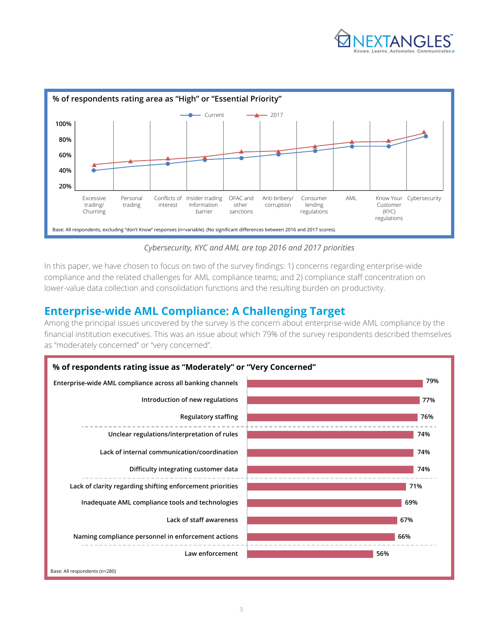



*Cybersecurity, KYC and AML are top 2016 and 2017 priorities*

In this paper, we have chosen to focus on two of the survey findings: 1) concerns regarding enterprise-wide compliance and the related challenges for AML compliance teams; and 2) compliance staff concentration on lower-value data collection and consolidation functions and the resulting burden on productivity.

### **Enterprise-wide AML Compliance: A Challenging Target**

Among the principal issues uncovered by the survey is the concern about enterprise-wide AML compliance by the financial institution executives. This was an issue about which 79% of the survey respondents described themselves as "moderately concerned" or "very concerned".

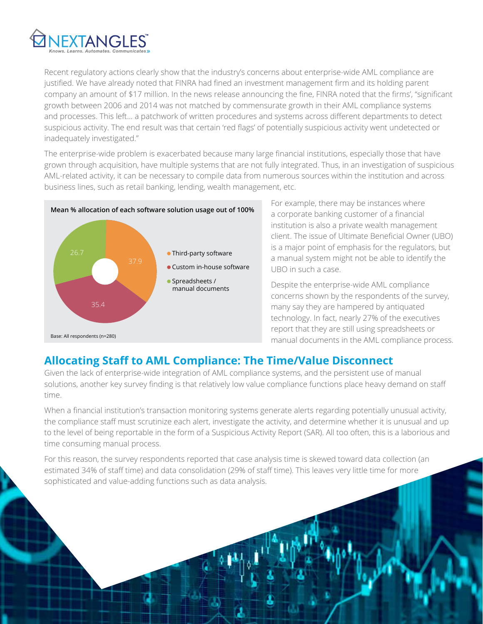

Recent regulatory actions clearly show that the industry's concerns about enterprise-wide AML compliance are justified. We have already noted that FINRA had fined an investment management firm and its holding parent company an amount of \$17 million. In the news release announcing the fine, FINRA noted that the firms', "significant growth between 2006 and 2014 was not matched by commensurate growth in their AML compliance systems and processes. This left… a patchwork of written procedures and systems across different departments to detect suspicious activity. The end result was that certain 'red flags' of potentially suspicious activity went undetected or inadequately investigated."

The enterprise-wide problem is exacerbated because many large financial institutions, especially those that have grown through acquisition, have multiple systems that are not fully integrated. Thus, in an investigation of suspicious AML-related activity, it can be necessary to compile data from numerous sources within the institution and across business lines, such as retail banking, lending, wealth management, etc.



For example, there may be instances where a corporate banking customer of a financial institution is also a private wealth management client. The issue of Ultimate Beneficial Owner (UBO) is a major point of emphasis for the regulators, but a manual system might not be able to identify the UBO in such a case.

Despite the enterprise-wide AML compliance concerns shown by the respondents of the survey, many say they are hampered by antiquated technology. In fact, nearly 27% of the executives report that they are still using spreadsheets or manual documents in the AML compliance process.

### **Allocating Staff to AML Compliance: The Time/Value Disconnect**

Given the lack of enterprise-wide integration of AML compliance systems, and the persistent use of manual solutions, another key survey finding is that relatively low value compliance functions place heavy demand on staff time.

When a financial institution's transaction monitoring systems generate alerts regarding potentially unusual activity, the compliance staff must scrutinize each alert, investigate the activity, and determine whether it is unusual and up to the level of being reportable in the form of a Suspicious Activity Report (SAR). All too often, this is a laborious and time consuming manual process.

For this reason, the survey respondents reported that case analysis time is skewed toward data collection (an estimated 34% of staff time) and data consolidation (29% of staff time). This leaves very little time for more sophisticated and value-adding functions such as data analysis.

4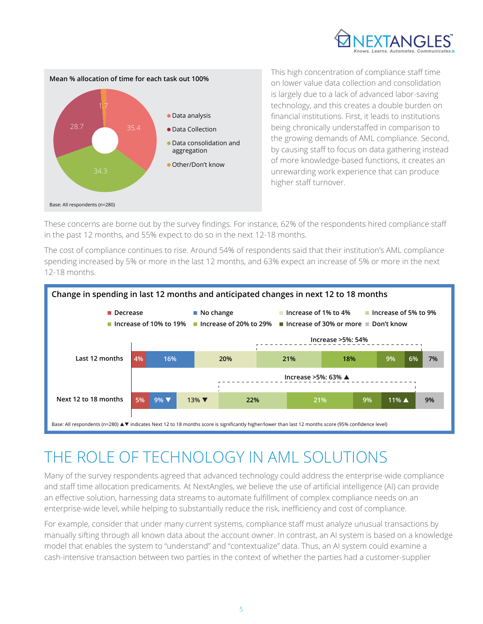



This high concentration of compliance staff time on lower value data collection and consolidation is largely due to a lack of advanced labor-saving technology, and this creates a double burden on financial institutions. First, it leads to institutions being chronically understaffed in comparison to the growing demands of AML compliance. Second, by causing staff to focus on data gathering instead of more knowledge-based functions, it creates an unrewarding work experience that can produce higher staff turnover.

These concerns are borne out by the survey findings. For instance, 62% of the respondents hired compliance staff in the past 12 months, and 55% expect to do so in the next 12-18 months.

The cost of compliance continues to rise. Around 54% of respondents said that their institution's AML compliance spending increased by 5% or more in the last 12 months, and 63% expect an increase of 5% or more in the next 12-18 months.



## THE ROLE OF TECHNOLOGY IN AML SOLUTIONS

Many of the survey respondents agreed that advanced technology could address the enterprise-wide compliance and staff time allocation predicaments. At NextAngles, we believe the use of artificial intelligence (AI) can provide an effective solution, harnessing data streams to automate fulfillment of complex compliance needs on an enterprise-wide level, while helping to substantially reduce the risk, inefficiency and cost of compliance.

For example, consider that under many current systems, compliance staff must analyze unusual transactions by manually sifting through all known data about the account owner. In contrast, an AI system is based on a knowledge model that enables the system to "understand" and "contextualize" data. Thus, an AI system could examine a cash-intensive transaction between two parties in the context of whether the parties had a customer-supplier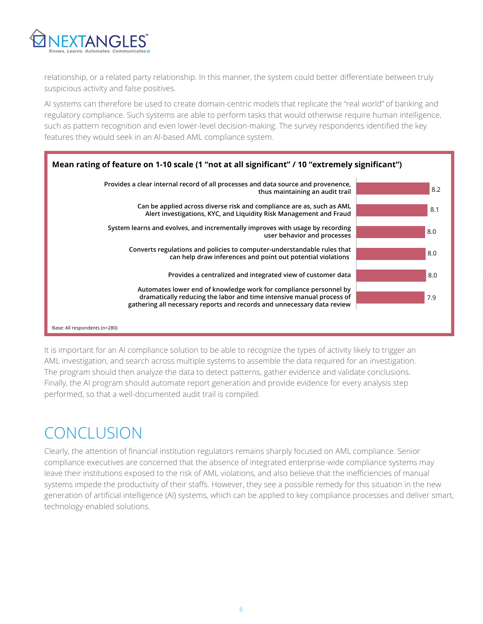

relationship, or a related party relationship. In this manner, the system could better differentiate between truly suspicious activity and false positives.

AI systems can therefore be used to create domain-centric models that replicate the "real world" of banking and regulatory compliance. Such systems are able to perform tasks that would otherwise require human intelligence, such as pattern recognition and even lower-level decision-making. The survey respondents identified the key features they would seek in an AI-based AML compliance system.



It is important for an AI compliance solution to be able to recognize the types of activity likely to trigger an AML investigation, and search across multiple systems to assemble the data required for an investigation. The program should then analyze the data to detect patterns, gather evidence and validate conclusions. Finally, the AI program should automate report generation and provide evidence for every analysis step performed, so that a well-documented audit trail is compiled.

## CONCLUSION

Clearly, the attention of financial institution regulators remains sharply focused on AML compliance. Senior compliance executives are concerned that the absence of integrated enterprise-wide compliance systems may leave their institutions exposed to the risk of AML violations, and also believe that the inefficiencies of manual systems impede the productivity of their staffs. However, they see a possible remedy for this situation in the new generation of artificial intelligence (AI) systems, which can be applied to key compliance processes and deliver smart, technology-enabled solutions.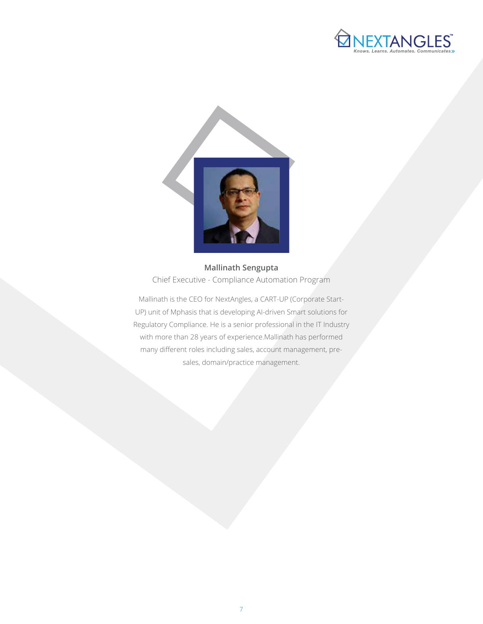



**Mallinath Sengupta** Chief Executive - Compliance Automation Program

Mallinath is the CEO for NextAngles, a CART-UP (Corporate Start-UP) unit of Mphasis that is developing AI-driven Smart solutions for Regulatory Compliance. He is a senior professional in the IT Industry with more than 28 years of experience.Mallinath has performed many different roles including sales, account management, presales, domain/practice management.